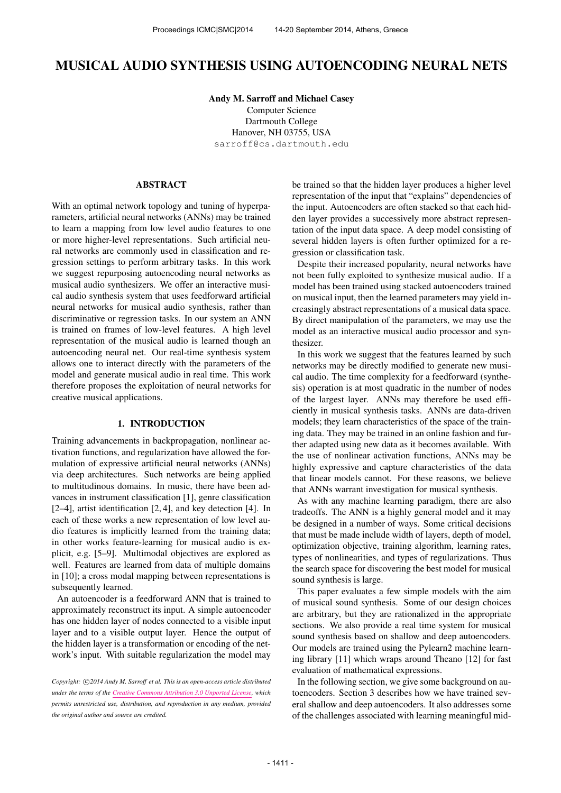# MUSICAL AUDIO SYNTHESIS USING AUTOENCODING NEURAL NETS

Andy M. Sarroff and Michael Casey Computer Science Dartmouth College Hanover, NH 03755, USA [sarroff@cs.dartmouth.edu](mailto:sarroff@cs.dartmouth.edu)

## ABSTRACT

With an optimal network topology and tuning of hyperparameters, artificial neural networks (ANNs) may be trained to learn a mapping from low level audio features to one or more higher-level representations. Such artificial neural networks are commonly used in classification and regression settings to perform arbitrary tasks. In this work we suggest repurposing autoencoding neural networks as musical audio synthesizers. We offer an interactive musical audio synthesis system that uses feedforward artificial neural networks for musical audio synthesis, rather than discriminative or regression tasks. In our system an ANN is trained on frames of low-level features. A high level representation of the musical audio is learned though an autoencoding neural net. Our real-time synthesis system allows one to interact directly with the parameters of the model and generate musical audio in real time. This work therefore proposes the exploitation of neural networks for creative musical applications.

## 1. INTRODUCTION

Training advancements in backpropagation, nonlinear activation functions, and regularization have allowed the formulation of expressive artificial neural networks (ANNs) via deep architectures. Such networks are being applied to multitudinous domains. In music, there have been advances in instrument classification [1], genre classification [2–4], artist identification [2, 4], and key detection [4]. In each of these works a new representation of low level audio features is implicitly learned from the training data; in other works feature-learning for musical audio is explicit, e.g. [5–9]. Multimodal objectives are explored as well. Features are learned from data of multiple domains in [10]; a cross modal mapping between representations is subsequently learned.

An autoencoder is a feedforward ANN that is trained to approximately reconstruct its input. A simple autoencoder has one hidden layer of nodes connected to a visible input layer and to a visible output layer. Hence the output of the hidden layer is a transformation or encoding of the network's input. With suitable regularization the model may be trained so that the hidden layer produces a higher level representation of the input that "explains" dependencies of the input. Autoencoders are often stacked so that each hidden layer provides a successively more abstract representation of the input data space. A deep model consisting of several hidden layers is often further optimized for a regression or classification task.

Despite their increased popularity, neural networks have not been fully exploited to synthesize musical audio. If a model has been trained using stacked autoencoders trained on musical input, then the learned parameters may yield increasingly abstract representations of a musical data space. By direct manipulation of the parameters, we may use the model as an interactive musical audio processor and synthesizer.

In this work we suggest that the features learned by such networks may be directly modified to generate new musical audio. The time complexity for a feedforward (synthesis) operation is at most quadratic in the number of nodes of the largest layer. ANNs may therefore be used efficiently in musical synthesis tasks. ANNs are data-driven models; they learn characteristics of the space of the training data. They may be trained in an online fashion and further adapted using new data as it becomes available. With the use of nonlinear activation functions, ANNs may be highly expressive and capture characteristics of the data that linear models cannot. For these reasons, we believe that ANNs warrant investigation for musical synthesis.

As with any machine learning paradigm, there are also tradeoffs. The ANN is a highly general model and it may be designed in a number of ways. Some critical decisions that must be made include width of layers, depth of model, optimization objective, training algorithm, learning rates, types of nonlinearities, and types of regularizations. Thus the search space for discovering the best model for musical sound synthesis is large.

This paper evaluates a few simple models with the aim of musical sound synthesis. Some of our design choices are arbitrary, but they are rationalized in the appropriate sections. We also provide a real time system for musical sound synthesis based on shallow and deep autoencoders. Our models are trained using the Pylearn2 machine learning library [11] which wraps around Theano [12] for fast evaluation of mathematical expressions.

In the following section, we give some background on autoencoders. Section 3 describes how we have trained several shallow and deep autoencoders. It also addresses some of the challenges associated with learning meaningful mid-

Copyright:  $\bigcirc$  2014 Andy M. Sarroff et al. This is an open-access article distributed *under the terms of the [Creative Commons Attribution 3.0 Unported License,](http://creativecommons.org/licenses/by/3.0/) which permits unrestricted use, distribution, and reproduction in any medium, provided the original author and source are credited.*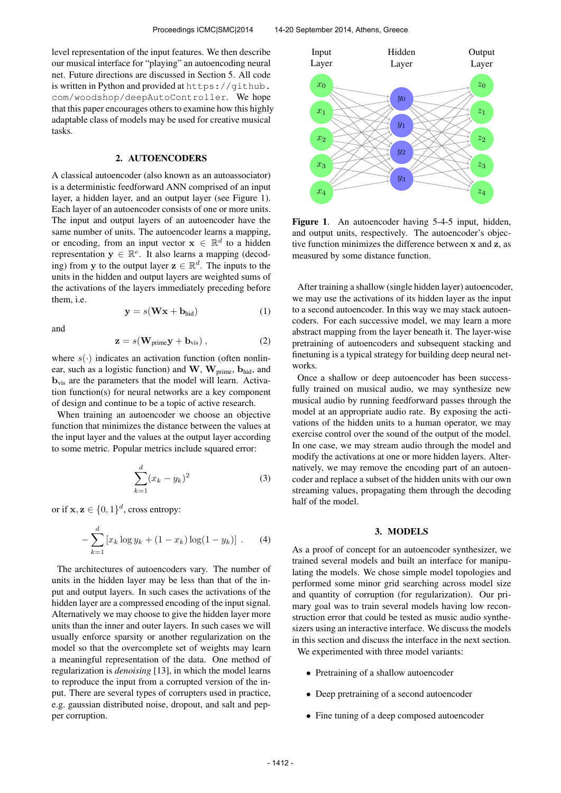level representation of the input features. We then describe our musical interface for "playing" an autoencoding neural net. Future directions are discussed in Section 5. All code is written in Python and provided at [https://github.](https://github.com/woodshop/deepAutoController) [com/woodshop/deepAutoController](https://github.com/woodshop/deepAutoController). We hope that this paper encourages others to examine how this highly adaptable class of models may be used for creative musical tasks.

#### 2. AUTOENCODERS

A classical autoencoder (also known as an autoassociator) is a deterministic feedforward ANN comprised of an input layer, a hidden layer, and an output layer (see Figure 1). Each layer of an autoencoder consists of one or more units. The input and output layers of an autoencoder have the same number of units. The autoencoder learns a mapping, or encoding, from an input vector  $\mathbf{x} \in \mathbb{R}^d$  to a hidden representation  $y \in \mathbb{R}^e$ . It also learns a mapping (decoding) from y to the output layer  $z \in \mathbb{R}^d$ . The inputs to the units in the hidden and output layers are weighted sums of the activations of the layers immediately preceding before them, i.e.

$$
y = s(Wx + b_{hid})
$$
 (1)

and

$$
\mathbf{z} = s(\mathbf{W}_{\text{prime}} \mathbf{y} + \mathbf{b}_{\text{vis}}) , \qquad (2)
$$

where  $s(\cdot)$  indicates an activation function (often nonlinear, such as a logistic function) and  $W$ ,  $W_{\text{prime}}$ ,  $b_{\text{hid}}$ , and b<sub>vis</sub> are the parameters that the model will learn. Activation function(s) for neural networks are a key component of design and continue to be a topic of active research.

When training an autoencoder we choose an objective function that minimizes the distance between the values at the input layer and the values at the output layer according to some metric. Popular metrics include squared error:

$$
\sum_{k=1}^{d} (x_k - y_k)^2
$$
 (3)

or if  $x, z \in \{0, 1\}^d$ , cross entropy:

$$
-\sum_{k=1}^{d} \left[ x_k \log y_k + (1 - x_k) \log(1 - y_k) \right] . \tag{4}
$$

The architectures of autoencoders vary. The number of units in the hidden layer may be less than that of the input and output layers. In such cases the activations of the hidden layer are a compressed encoding of the input signal. Alternatively we may choose to give the hidden layer more units than the inner and outer layers. In such cases we will usually enforce sparsity or another regularization on the model so that the overcomplete set of weights may learn a meaningful representation of the data. One method of regularization is *denoising* [13], in which the model learns to reproduce the input from a corrupted version of the input. There are several types of corrupters used in practice, e.g. gaussian distributed noise, dropout, and salt and pepper corruption.



Figure 1. An autoencoder having 5-4-5 input, hidden, and output units, respectively. The autoencoder's objective function minimizes the difference between x and z, as measured by some distance function.

After training a shallow (single hidden layer) autoencoder, we may use the activations of its hidden layer as the input to a second autoencoder. In this way we may stack autoencoders. For each successive model, we may learn a more abstract mapping from the layer beneath it. The layer-wise pretraining of autoencoders and subsequent stacking and finetuning is a typical strategy for building deep neural networks.

Once a shallow or deep autoencoder has been successfully trained on musical audio, we may synthesize new musical audio by running feedforward passes through the model at an appropriate audio rate. By exposing the activations of the hidden units to a human operator, we may exercise control over the sound of the output of the model. In one case, we may stream audio through the model and modify the activations at one or more hidden layers. Alternatively, we may remove the encoding part of an autoencoder and replace a subset of the hidden units with our own streaming values, propagating them through the decoding half of the model.

## 3. MODELS

As a proof of concept for an autoencoder synthesizer, we trained several models and built an interface for manipulating the models. We chose simple model topologies and performed some minor grid searching across model size and quantity of corruption (for regularization). Our primary goal was to train several models having low reconstruction error that could be tested as music audio synthesizers using an interactive interface. We discuss the models in this section and discuss the interface in the next section. We experimented with three model variants:

- Pretraining of a shallow autoencoder
- Deep pretraining of a second autoencoder
- Fine tuning of a deep composed autoencoder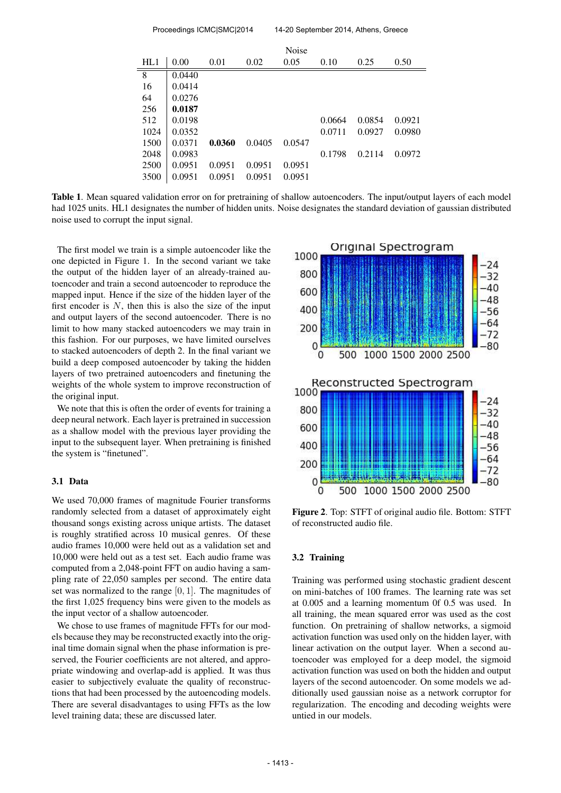| Proceedings ICMC SMC 2014 |        |        |        | 14-20 September 2014, Athens, Greece |        |        |        |
|---------------------------|--------|--------|--------|--------------------------------------|--------|--------|--------|
|                           |        |        |        | Noise                                |        |        |        |
| HL1                       | 0.00   | 0.01   | 0.02   | 0.05                                 | 0.10   | 0.25   | 0.50   |
| 8                         | 0.0440 |        |        |                                      |        |        |        |
| 16                        | 0.0414 |        |        |                                      |        |        |        |
| 64                        | 0.0276 |        |        |                                      |        |        |        |
| 256                       | 0.0187 |        |        |                                      |        |        |        |
| 512                       | 0.0198 |        |        |                                      | 0.0664 | 0.0854 | 0.0921 |
| 1024                      | 0.0352 |        |        |                                      | 0.0711 | 0.0927 | 0.0980 |
| 1500                      | 0.0371 | 0.0360 | 0.0405 | 0.0547                               |        |        |        |
| 2048                      | 0.0983 |        |        |                                      | 0.1798 | 0.2114 | 0.0972 |
| 2500                      | 0.0951 | 0.0951 | 0.0951 | 0.0951                               |        |        |        |
| 3500                      | 0.0951 | 0.0951 | 0.0951 | 0.0951                               |        |        |        |

Table 1. Mean squared validation error on for pretraining of shallow autoencoders. The input/output layers of each model had 1025 units. HL1 designates the number of hidden units. Noise designates the standard deviation of gaussian distributed noise used to corrupt the input signal.

The first model we train is a simple autoencoder like the one depicted in Figure 1. In the second variant we take the output of the hidden layer of an already-trained autoencoder and train a second autoencoder to reproduce the mapped input. Hence if the size of the hidden layer of the first encoder is  $N$ , then this is also the size of the input and output layers of the second autoencoder. There is no limit to how many stacked autoencoders we may train in this fashion. For our purposes, we have limited ourselves to stacked autoencoders of depth 2. In the final variant we build a deep composed autoencoder by taking the hidden layers of two pretrained autoencoders and finetuning the weights of the whole system to improve reconstruction of the original input.

We note that this is often the order of events for training a deep neural network. Each layer is pretrained in succession as a shallow model with the previous layer providing the input to the subsequent layer. When pretraining is finished the system is "finetuned".

## 3.1 Data

We used 70,000 frames of magnitude Fourier transforms randomly selected from a dataset of approximately eight thousand songs existing across unique artists. The dataset is roughly stratified across 10 musical genres. Of these audio frames 10,000 were held out as a validation set and 10,000 were held out as a test set. Each audio frame was computed from a 2,048-point FFT on audio having a sampling rate of 22,050 samples per second. The entire data set was normalized to the range [0, 1]. The magnitudes of the first 1,025 frequency bins were given to the models as the input vector of a shallow autoencoder.

We chose to use frames of magnitude FFTs for our models because they may be reconstructed exactly into the original time domain signal when the phase information is preserved, the Fourier coefficients are not altered, and appropriate windowing and overlap-add is applied. It was thus easier to subjectively evaluate the quality of reconstructions that had been processed by the autoencoding models. There are several disadvantages to using FFTs as the low level training data; these are discussed later.



Figure 2. Top: STFT of original audio file. Bottom: STFT of reconstructed audio file.

## 3.2 Training

Training was performed using stochastic gradient descent on mini-batches of 100 frames. The learning rate was set at 0.005 and a learning momentum 0f 0.5 was used. In all training, the mean squared error was used as the cost function. On pretraining of shallow networks, a sigmoid activation function was used only on the hidden layer, with linear activation on the output layer. When a second autoencoder was employed for a deep model, the sigmoid activation function was used on both the hidden and output layers of the second autoencoder. On some models we additionally used gaussian noise as a network corruptor for regularization. The encoding and decoding weights were untied in our models.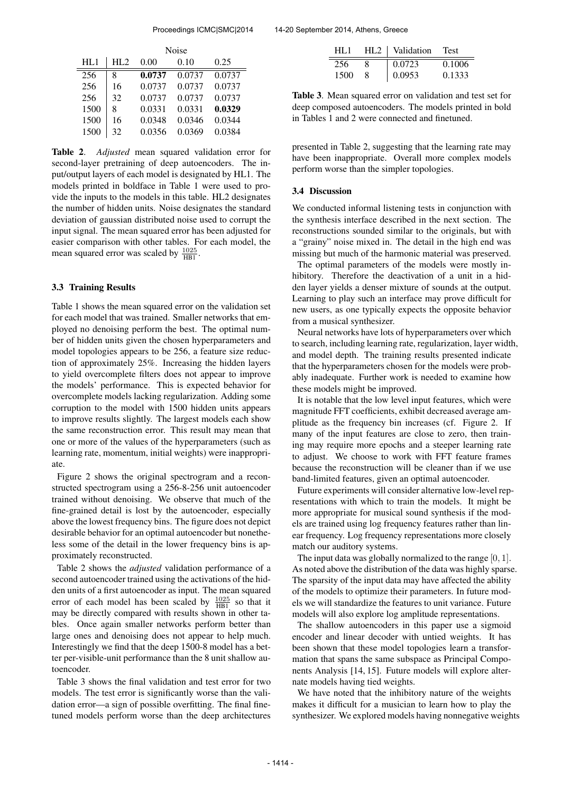|      | <b>Noise</b> |        |        |        |  |
|------|--------------|--------|--------|--------|--|
| HL1  | HL2          | 0.00   | 0.10   | 0.25   |  |
| 256  | 8            | 0.0737 | 0.0737 | 0.0737 |  |
| 256  | 16           | 0.0737 | 0.0737 | 0.0737 |  |
| 256  | 32           | 0.0737 | 0.0737 | 0.0737 |  |
| 1500 | 8            | 0.0331 | 0.0331 | 0.0329 |  |
| 1500 | 16           | 0.0348 | 0.0346 | 0.0344 |  |
| 1500 | 32           | 0.0356 | 0.0369 | 0.0384 |  |

Table 2. *Adjusted* mean squared validation error for second-layer pretraining of deep autoencoders. The input/output layers of each model is designated by HL1. The models printed in boldface in Table 1 were used to provide the inputs to the models in this table. HL2 designates the number of hidden units. Noise designates the standard deviation of gaussian distributed noise used to corrupt the input signal. The mean squared error has been adjusted for easier comparison with other tables. For each model, the mean squared error was scaled by  $\frac{1025}{HB1}$ .

## 3.3 Training Results

Table 1 shows the mean squared error on the validation set for each model that was trained. Smaller networks that employed no denoising perform the best. The optimal number of hidden units given the chosen hyperparameters and model topologies appears to be 256, a feature size reduction of approximately 25%. Increasing the hidden layers to yield overcomplete filters does not appear to improve the models' performance. This is expected behavior for overcomplete models lacking regularization. Adding some corruption to the model with 1500 hidden units appears to improve results slightly. The largest models each show the same reconstruction error. This result may mean that one or more of the values of the hyperparameters (such as learning rate, momentum, initial weights) were inappropriate.

Figure 2 shows the original spectrogram and a reconstructed spectrogram using a 256-8-256 unit autoencoder trained without denoising. We observe that much of the fine-grained detail is lost by the autoencoder, especially above the lowest frequency bins. The figure does not depict desirable behavior for an optimal autoencoder but nonetheless some of the detail in the lower frequency bins is approximately reconstructed.

Table 2 shows the *adjusted* validation performance of a second autoencoder trained using the activations of the hidden units of a first autoencoder as input. The mean squared error of each model has been scaled by  $\frac{1025}{HB1}$  so that it may be directly compared with results shown in other tables. Once again smaller networks perform better than large ones and denoising does not appear to help much. Interestingly we find that the deep 1500-8 model has a better per-visible-unit performance than the 8 unit shallow autoencoder.

Table 3 shows the final validation and test error for two models. The test error is significantly worse than the validation error—a sign of possible overfitting. The final finetuned models perform worse than the deep architectures

| HL 1 | HL2   Validation | Test   |  |
|------|------------------|--------|--|
|      | 0.0723           | 0.1006 |  |
| 1500 | 0.0953           | 0.1333 |  |

Table 3. Mean squared error on validation and test set for deep composed autoencoders. The models printed in bold in Tables 1 and 2 were connected and finetuned.

presented in Table 2, suggesting that the learning rate may have been inappropriate. Overall more complex models perform worse than the simpler topologies.

#### 3.4 Discussion

We conducted informal listening tests in conjunction with the synthesis interface described in the next section. The reconstructions sounded similar to the originals, but with a "grainy" noise mixed in. The detail in the high end was missing but much of the harmonic material was preserved.

The optimal parameters of the models were mostly inhibitory. Therefore the deactivation of a unit in a hidden layer yields a denser mixture of sounds at the output. Learning to play such an interface may prove difficult for new users, as one typically expects the opposite behavior from a musical synthesizer.

Neural networks have lots of hyperparameters over which to search, including learning rate, regularization, layer width, and model depth. The training results presented indicate that the hyperparameters chosen for the models were probably inadequate. Further work is needed to examine how these models might be improved.

It is notable that the low level input features, which were magnitude FFT coefficients, exhibit decreased average amplitude as the frequency bin increases (cf. Figure 2. If many of the input features are close to zero, then training may require more epochs and a steeper learning rate to adjust. We choose to work with FFT feature frames because the reconstruction will be cleaner than if we use band-limited features, given an optimal autoencoder.

Future experiments will consider alternative low-level representations with which to train the models. It might be more appropriate for musical sound synthesis if the models are trained using log frequency features rather than linear frequency. Log frequency representations more closely match our auditory systems.

The input data was globally normalized to the range [0, 1]. As noted above the distribution of the data was highly sparse. The sparsity of the input data may have affected the ability of the models to optimize their parameters. In future models we will standardize the features to unit variance. Future models will also explore log amplitude representations.

The shallow autoencoders in this paper use a sigmoid encoder and linear decoder with untied weights. It has been shown that these model topologies learn a transformation that spans the same subspace as Principal Components Analysis [14, 15]. Future models will explore alternate models having tied weights.

We have noted that the inhibitory nature of the weights makes it difficult for a musician to learn how to play the synthesizer. We explored models having nonnegative weights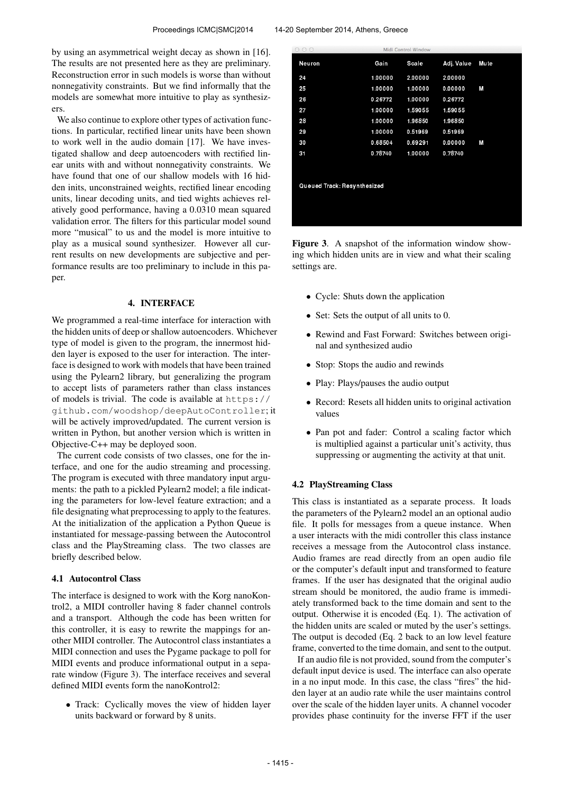by using an asymmetrical weight decay as shown in [16]. The results are not presented here as they are preliminary. Reconstruction error in such models is worse than without nonnegativity constraints. But we find informally that the models are somewhat more intuitive to play as synthesizers.

We also continue to explore other types of activation functions. In particular, rectified linear units have been shown to work well in the audio domain [17]. We have investigated shallow and deep autoencoders with rectified linear units with and without nonnegativity constraints. We have found that one of our shallow models with 16 hidden inits, unconstrained weights, rectified linear encoding units, linear decoding units, and tied wights achieves relatively good performance, having a 0.0310 mean squared validation error. The filters for this particular model sound more "musical" to us and the model is more intuitive to play as a musical sound synthesizer. However all current results on new developments are subjective and performance results are too preliminary to include in this paper.

#### 4. INTERFACE

We programmed a real-time interface for interaction with the hidden units of deep or shallow autoencoders. Whichever type of model is given to the program, the innermost hidden layer is exposed to the user for interaction. The interface is designed to work with models that have been trained using the Pylearn2 library, but generalizing the program to accept lists of parameters rather than class instances of models is trivial. The code is available at [https://](https://github.com/woodshop/deepAutoController) [github.com/woodshop/deepAutoController](https://github.com/woodshop/deepAutoController); it will be actively improved/updated. The current version is written in Python, but another version which is written in Objective-C++ may be deployed soon.

The current code consists of two classes, one for the interface, and one for the audio streaming and processing. The program is executed with three mandatory input arguments: the path to a pickled Pylearn2 model; a file indicating the parameters for low-level feature extraction; and a file designating what preprocessing to apply to the features. At the initialization of the application a Python Queue is instantiated for message-passing between the Autocontrol class and the PlayStreaming class. The two classes are briefly described below.

## 4.1 Autocontrol Class

The interface is designed to work with the Korg nanoKontrol2, a MIDI controller having 8 fader channel controls and a transport. Although the code has been written for this controller, it is easy to rewrite the mappings for another MIDI controller. The Autocontrol class instantiates a MIDI connection and uses the Pygame package to poll for MIDI events and produce informational output in a separate window (Figure 3). The interface receives and several defined MIDI events form the nanoKontrol2:

• Track: Cyclically moves the view of hidden layer units backward or forward by 8 units.

| $\cup$ $\cup$               |         | Midi Control Window |            |             |  |  |  |
|-----------------------------|---------|---------------------|------------|-------------|--|--|--|
| Neuron                      | Gain    | Sca e               | Adj. Value | <b>Mute</b> |  |  |  |
| 24                          | 1.00000 | 2.00000             | 2.00000    |             |  |  |  |
| 25                          | 1.00000 | 1.00000             | 0.00000    | M           |  |  |  |
| 26                          | 0 26772 | 1.00000             | 0.26772    |             |  |  |  |
| 27                          | 1.00000 | 1.59055             | 1.59055    |             |  |  |  |
| 28                          | 1.00000 | 1.96850             | 1.96850    |             |  |  |  |
| 29                          | 1.00000 | 0.51969             | 0.51969    |             |  |  |  |
| 30                          | 0.68504 | 0.69291             | 0.00000    | M           |  |  |  |
| 31                          | 078740  | 1.00000             | 0.78740    |             |  |  |  |
|                             |         |                     |            |             |  |  |  |
| Queued Track: Resynthesized |         |                     |            |             |  |  |  |
|                             |         |                     |            |             |  |  |  |
|                             |         |                     |            |             |  |  |  |
|                             |         |                     |            |             |  |  |  |

Figure 3. A snapshot of the information window showing which hidden units are in view and what their scaling settings are.

- Cycle: Shuts down the application
- Set: Sets the output of all units to 0.
- Rewind and Fast Forward: Switches between original and synthesized audio
- Stop: Stops the audio and rewinds
- Play: Plays/pauses the audio output
- Record: Resets all hidden units to original activation values
- Pan pot and fader: Control a scaling factor which is multiplied against a particular unit's activity, thus suppressing or augmenting the activity at that unit.

#### 4.2 PlayStreaming Class

This class is instantiated as a separate process. It loads the parameters of the Pylearn2 model an an optional audio file. It polls for messages from a queue instance. When a user interacts with the midi controller this class instance receives a message from the Autocontrol class instance. Audio frames are read directly from an open audio file or the computer's default input and transformed to feature frames. If the user has designated that the original audio stream should be monitored, the audio frame is immediately transformed back to the time domain and sent to the output. Otherwise it is encoded (Eq. 1). The activation of the hidden units are scaled or muted by the user's settings. The output is decoded (Eq. 2 back to an low level feature frame, converted to the time domain, and sent to the output.

If an audio file is not provided, sound from the computer's default input device is used. The interface can also operate in a no input mode. In this case, the class "fires" the hidden layer at an audio rate while the user maintains control over the scale of the hidden layer units. A channel vocoder provides phase continuity for the inverse FFT if the user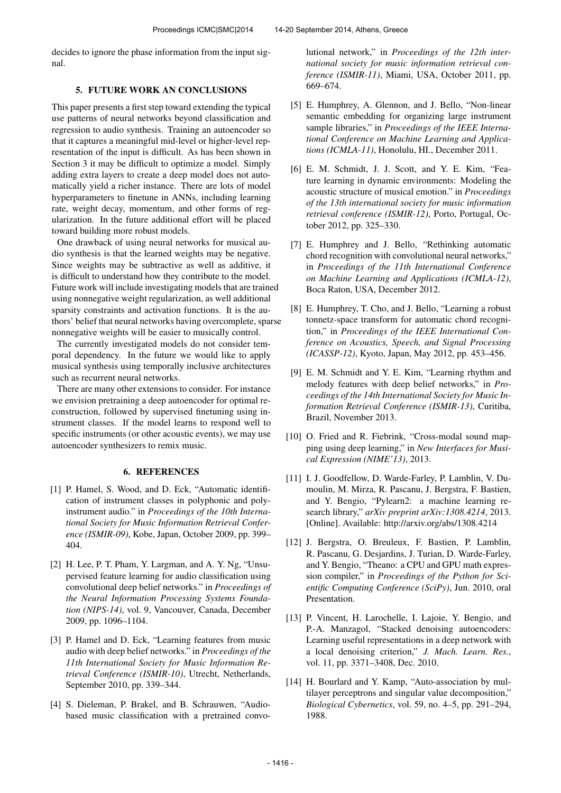decides to ignore the phase information from the input signal.

# 5. FUTURE WORK AN CONCLUSIONS

This paper presents a first step toward extending the typical use patterns of neural networks beyond classification and regression to audio synthesis. Training an autoencoder so that it captures a meaningful mid-level or higher-level representation of the input is difficult. As has been shown in Section 3 it may be difficult to optimize a model. Simply adding extra layers to create a deep model does not automatically yield a richer instance. There are lots of model hyperparameters to finetune in ANNs, including learning rate, weight decay, momentum, and other forms of regularization. In the future additional effort will be placed toward building more robust models.

One drawback of using neural networks for musical audio synthesis is that the learned weights may be negative. Since weights may be subtractive as well as additive, it is difficult to understand how they contribute to the model. Future work will include investigating models that are trained using nonnegative weight regularization, as well additional sparsity constraints and activation functions. It is the authors' belief that neural networks having overcomplete, sparse nonnegative weights will be easier to musically control.

The currently investigated models do not consider temporal dependency. In the future we would like to apply musical synthesis using temporally inclusive architectures such as recurrent neural networks.

There are many other extensions to consider. For instance we envision pretraining a deep autoencoder for optimal reconstruction, followed by supervised finetuning using instrument classes. If the model learns to respond well to specific instruments (or other acoustic events), we may use autoencoder synthesizers to remix music.

#### 6. REFERENCES

- [1] P. Hamel, S. Wood, and D. Eck, "Automatic identification of instrument classes in polyphonic and polyinstrument audio." in *Proceedings of the 10th International Society for Music Information Retrieval Conference (ISMIR-09)*, Kobe, Japan, October 2009, pp. 399– 404.
- [2] H. Lee, P. T. Pham, Y. Largman, and A. Y. Ng, "Unsupervised feature learning for audio classification using convolutional deep belief networks." in *Proceedings of the Neural Information Processing Systems Foundation (NIPS-14)*, vol. 9, Vancouver, Canada, December 2009, pp. 1096–1104.
- [3] P. Hamel and D. Eck, "Learning features from music audio with deep belief networks." in *Proceedings of the 11th International Society for Music Information Retrieval Conference (ISMIR-10)*, Utrecht, Netherlands, September 2010, pp. 339–344.
- [4] S. Dieleman, P. Brakel, and B. Schrauwen, "Audiobased music classification with a pretrained convo-

lutional network," in *Proceedings of the 12th international society for music information retrieval conference (ISMIR-11)*, Miami, USA, October 2011, pp. 669–674.

- [5] E. Humphrey, A. Glennon, and J. Bello, "Non-linear semantic embedding for organizing large instrument sample libraries," in *Proceedings of the IEEE International Conference on Machine Learning and Applications (ICMLA-11)*, Honolulu, HI., December 2011.
- [6] E. M. Schmidt, J. J. Scott, and Y. E. Kim, "Feature learning in dynamic environments: Modeling the acoustic structure of musical emotion." in *Proceedings of the 13th international society for music information retrieval conference (ISMIR-12)*, Porto, Portugal, October 2012, pp. 325–330.
- [7] E. Humphrey and J. Bello, "Rethinking automatic chord recognition with convolutional neural networks," in *Proceedings of the 11th International Conference on Machine Learning and Applications (ICMLA-12)*, Boca Raton, USA, December 2012.
- [8] E. Humphrey, T. Cho, and J. Bello, "Learning a robust" tonnetz-space transform for automatic chord recognition," in *Proceedings of the IEEE International Conference on Acoustics, Speech, and Signal Processing (ICASSP-12)*, Kyoto, Japan, May 2012, pp. 453–456.
- [9] E. M. Schmidt and Y. E. Kim, "Learning rhythm and melody features with deep belief networks," in *Proceedings of the 14th International Society for Music Information Retrieval Conference (ISMIR-13)*, Curitiba, Brazil, November 2013.
- [10] O. Fried and R. Fiebrink, "Cross-modal sound mapping using deep learning," in *New Interfaces for Musical Expression (NIME'13)*, 2013.
- [11] I. J. Goodfellow, D. Warde-Farley, P. Lamblin, V. Dumoulin, M. Mirza, R. Pascanu, J. Bergstra, F. Bastien, and Y. Bengio, "Pylearn2: a machine learning research library," *arXiv preprint arXiv:1308.4214*, 2013. [Online]. Available:<http://arxiv.org/abs/1308.4214>
- [12] J. Bergstra, O. Breuleux, F. Bastien, P. Lamblin, R. Pascanu, G. Desjardins, J. Turian, D. Warde-Farley, and Y. Bengio, "Theano: a CPU and GPU math expression compiler," in *Proceedings of the Python for Scientific Computing Conference (SciPy)*, Jun. 2010, oral Presentation.
- [13] P. Vincent, H. Larochelle, I. Lajoie, Y. Bengio, and P.-A. Manzagol, "Stacked denoising autoencoders: Learning useful representations in a deep network with a local denoising criterion," *J. Mach. Learn. Res.*, vol. 11, pp. 3371–3408, Dec. 2010.
- [14] H. Bourlard and Y. Kamp, "Auto-association by multilayer perceptrons and singular value decomposition," *Biological Cybernetics*, vol. 59, no. 4–5, pp. 291–294, 1988.